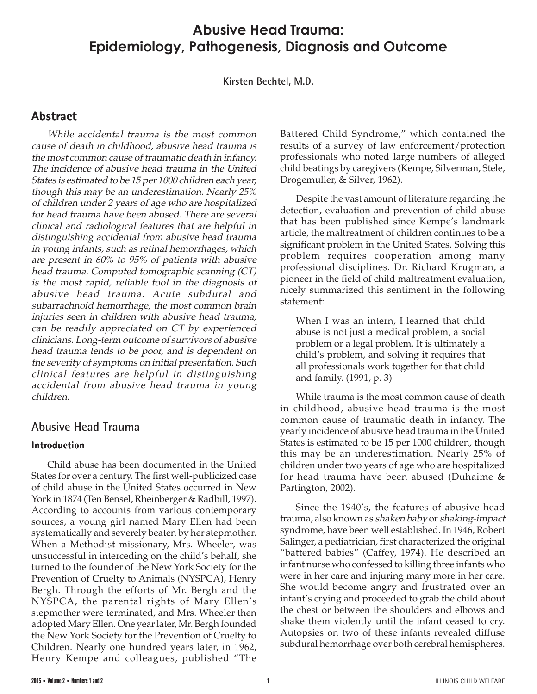# **Abusive Head Trauma: Epidemiology, Pathogenesis, Diagnosis and Outcome**

**Kirsten Bechtel, M.D.**

## **Abstract**

While accidental trauma is the most common cause of death in childhood, abusive head trauma is the most common cause of traumatic death in infancy. The incidence of abusive head trauma in the United States is estimated to be 15 per 1000 children each year, though this may be an underestimation. Nearly 25% of children under 2 years of age who are hospitalized for head trauma have been abused. There are several clinical and radiological features that are helpful in distinguishing accidental from abusive head trauma in young infants, such as retinal hemorrhages, which are present in 60% to 95% of patients with abusive head trauma. Computed tomographic scanning (CT) is the most rapid, reliable tool in the diagnosis of abusive head trauma. Acute subdural and subarrachnoid hemorrhage, the most common brain injuries seen in children with abusive head trauma, can be readily appreciated on CT by experienced clinicians. Long-term outcome of survivors of abusive head trauma tends to be poor, and is dependent on the severity of symptoms on initial presentation. Such clinical features are helpful in distinguishing accidental from abusive head trauma in young children.

### **Abusive Head Trauma**

### **Introduction**

Child abuse has been documented in the United States for over a century. The first well-publicized case of child abuse in the United States occurred in New York in 1874 (Ten Bensel, Rheinberger & Radbill, 1997). According to accounts from various contemporary sources, a young girl named Mary Ellen had been systematically and severely beaten by her stepmother. When a Methodist missionary, Mrs. Wheeler, was unsuccessful in interceding on the child's behalf, she turned to the founder of the New York Society for the Prevention of Cruelty to Animals (NYSPCA), Henry Bergh. Through the efforts of Mr. Bergh and the NYSPCA, the parental rights of Mary Ellen's stepmother were terminated, and Mrs. Wheeler then adopted Mary Ellen. One year later, Mr. Bergh founded the New York Society for the Prevention of Cruelty to Children. Nearly one hundred years later, in 1962, Henry Kempe and colleagues, published "The

Battered Child Syndrome," which contained the results of a survey of law enforcement/protection professionals who noted large numbers of alleged child beatings by caregivers (Kempe, Silverman, Stele, Drogemuller, & Silver, 1962).

Despite the vast amount of literature regarding the detection, evaluation and prevention of child abuse that has been published since Kempe's landmark article, the maltreatment of children continues to be a significant problem in the United States. Solving this problem requires cooperation among many professional disciplines. Dr. Richard Krugman, a pioneer in the field of child maltreatment evaluation, nicely summarized this sentiment in the following statement:

When I was an intern, I learned that child abuse is not just a medical problem, a social problem or a legal problem. It is ultimately a child's problem, and solving it requires that all professionals work together for that child and family. (1991, p. 3)

While trauma is the most common cause of death in childhood, abusive head trauma is the most common cause of traumatic death in infancy. The yearly incidence of abusive head trauma in the United States is estimated to be 15 per 1000 children, though this may be an underestimation. Nearly 25% of children under two years of age who are hospitalized for head trauma have been abused (Duhaime & Partington, 2002).

Since the 1940's, the features of abusive head trauma, also known as shaken baby or shaking-impact syndrome, have been well established. In 1946, Robert Salinger, a pediatrician, first characterized the original "battered babies" (Caffey, 1974). He described an infant nurse who confessed to killing three infants who were in her care and injuring many more in her care. She would become angry and frustrated over an infant's crying and proceeded to grab the child about the chest or between the shoulders and elbows and shake them violently until the infant ceased to cry. Autopsies on two of these infants revealed diffuse subdural hemorrhage over both cerebral hemispheres.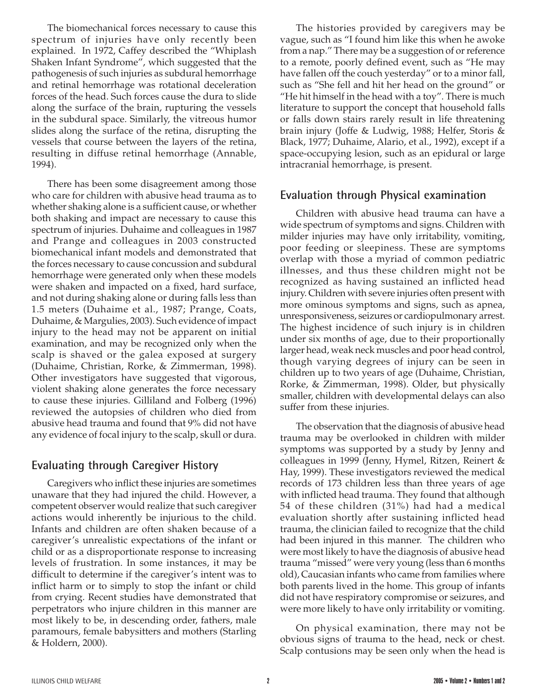The biomechanical forces necessary to cause this spectrum of injuries have only recently been explained. In 1972, Caffey described the "Whiplash Shaken Infant Syndrome", which suggested that the pathogenesis of such injuries as subdural hemorrhage and retinal hemorrhage was rotational deceleration forces of the head. Such forces cause the dura to slide along the surface of the brain, rupturing the vessels in the subdural space. Similarly, the vitreous humor slides along the surface of the retina, disrupting the vessels that course between the layers of the retina, resulting in diffuse retinal hemorrhage (Annable, 1994).

There has been some disagreement among those who care for children with abusive head trauma as to whether shaking alone is a sufficient cause, or whether both shaking and impact are necessary to cause this spectrum of injuries. Duhaime and colleagues in 1987 and Prange and colleagues in 2003 constructed biomechanical infant models and demonstrated that the forces necessary to cause concussion and subdural hemorrhage were generated only when these models were shaken and impacted on a fixed, hard surface, and not during shaking alone or during falls less than 1.5 meters (Duhaime et al., 1987; Prange, Coats, Duhaime, & Margulies, 2003). Such evidence of impact injury to the head may not be apparent on initial examination, and may be recognized only when the scalp is shaved or the galea exposed at surgery (Duhaime, Christian, Rorke, & Zimmerman, 1998). Other investigators have suggested that vigorous, violent shaking alone generates the force necessary to cause these injuries. Gilliland and Folberg (1996) reviewed the autopsies of children who died from abusive head trauma and found that 9% did not have any evidence of focal injury to the scalp, skull or dura.

## **Evaluating through Caregiver History**

Caregivers who inflict these injuries are sometimes unaware that they had injured the child. However, a competent observer would realize that such caregiver actions would inherently be injurious to the child. Infants and children are often shaken because of a caregiver's unrealistic expectations of the infant or child or as a disproportionate response to increasing levels of frustration. In some instances, it may be difficult to determine if the caregiver's intent was to inflict harm or to simply to stop the infant or child from crying. Recent studies have demonstrated that perpetrators who injure children in this manner are most likely to be, in descending order, fathers, male paramours, female babysitters and mothers (Starling & Holdern, 2000).

The histories provided by caregivers may be vague, such as "I found him like this when he awoke from a nap." There may be a suggestion of or reference to a remote, poorly defined event, such as "He may have fallen off the couch yesterday" or to a minor fall, such as "She fell and hit her head on the ground" or "He hit himself in the head with a toy". There is much literature to support the concept that household falls or falls down stairs rarely result in life threatening brain injury (Joffe & Ludwig, 1988; Helfer, Storis & Black, 1977; Duhaime, Alario, et al., 1992), except if a space-occupying lesion, such as an epidural or large intracranial hemorrhage, is present.

## **Evaluation through Physical examination**

Children with abusive head trauma can have a wide spectrum of symptoms and signs. Children with milder injuries may have only irritability, vomiting, poor feeding or sleepiness. These are symptoms overlap with those a myriad of common pediatric illnesses, and thus these children might not be recognized as having sustained an inflicted head injury. Children with severe injuries often present with more ominous symptoms and signs, such as apnea, unresponsiveness, seizures or cardiopulmonary arrest. The highest incidence of such injury is in children under six months of age, due to their proportionally larger head, weak neck muscles and poor head control, though varying degrees of injury can be seen in children up to two years of age (Duhaime, Christian, Rorke, & Zimmerman, 1998). Older, but physically smaller, children with developmental delays can also suffer from these injuries.

The observation that the diagnosis of abusive head trauma may be overlooked in children with milder symptoms was supported by a study by Jenny and colleagues in 1999 (Jenny, Hymel, Ritzen, Reinert & Hay, 1999). These investigators reviewed the medical records of 173 children less than three years of age with inflicted head trauma. They found that although 54 of these children (31%) had had a medical evaluation shortly after sustaining inflicted head trauma, the clinician failed to recognize that the child had been injured in this manner. The children who were most likely to have the diagnosis of abusive head trauma "missed" were very young (less than 6 months old), Caucasian infants who came from families where both parents lived in the home. This group of infants did not have respiratory compromise or seizures, and were more likely to have only irritability or vomiting.

On physical examination, there may not be obvious signs of trauma to the head, neck or chest. Scalp contusions may be seen only when the head is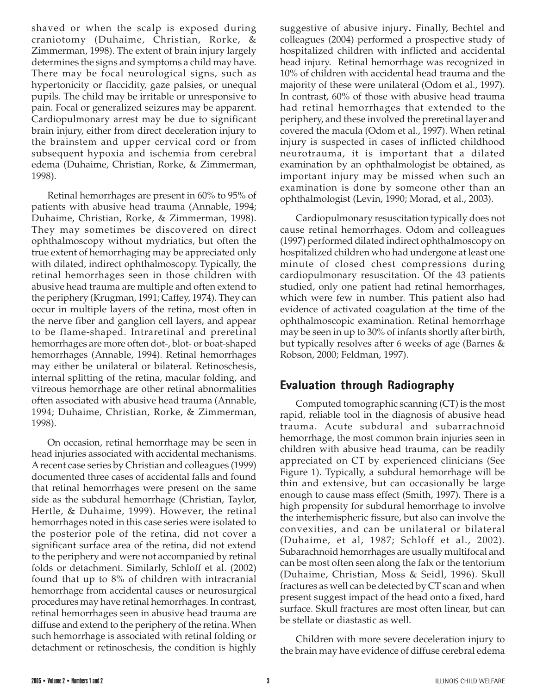shaved or when the scalp is exposed during craniotomy (Duhaime, Christian, Rorke, & Zimmerman, 1998). The extent of brain injury largely determines the signs and symptoms a child may have. There may be focal neurological signs, such as hypertonicity or flaccidity, gaze palsies, or unequal pupils. The child may be irritable or unresponsive to pain. Focal or generalized seizures may be apparent. Cardiopulmonary arrest may be due to significant brain injury, either from direct deceleration injury to the brainstem and upper cervical cord or from subsequent hypoxia and ischemia from cerebral edema (Duhaime, Christian, Rorke, & Zimmerman, 1998).

Retinal hemorrhages are present in 60% to 95% of patients with abusive head trauma (Annable, 1994; Duhaime, Christian, Rorke, & Zimmerman, 1998). They may sometimes be discovered on direct ophthalmoscopy without mydriatics, but often the true extent of hemorrhaging may be appreciated only with dilated, indirect ophthalmoscopy. Typically, the retinal hemorrhages seen in those children with abusive head trauma are multiple and often extend to the periphery (Krugman, 1991; Caffey, 1974). They can occur in multiple layers of the retina, most often in the nerve fiber and ganglion cell layers, and appear to be flame-shaped. Intraretinal and preretinal hemorrhages are more often dot-, blot- or boat-shaped hemorrhages (Annable, 1994). Retinal hemorrhages may either be unilateral or bilateral. Retinoschesis, internal splitting of the retina, macular folding, and vitreous hemorrhage are other retinal abnormalities often associated with abusive head trauma (Annable, 1994; Duhaime, Christian, Rorke, & Zimmerman, 1998).

On occasion, retinal hemorrhage may be seen in head injuries associated with accidental mechanisms. A recent case series by Christian and colleagues (1999) documented three cases of accidental falls and found that retinal hemorrhages were present on the same side as the subdural hemorrhage (Christian, Taylor, Hertle, & Duhaime, 1999). However, the retinal hemorrhages noted in this case series were isolated to the posterior pole of the retina, did not cover a significant surface area of the retina, did not extend to the periphery and were not accompanied by retinal folds or detachment. Similarly, Schloff et al. (2002) found that up to 8% of children with intracranial hemorrhage from accidental causes or neurosurgical procedures may have retinal hemorrhages. In contrast, retinal hemorrhages seen in abusive head trauma are diffuse and extend to the periphery of the retina. When such hemorrhage is associated with retinal folding or detachment or retinoschesis, the condition is highly suggestive of abusive injury. Finally, Bechtel and colleagues (2004) performed a prospective study of hospitalized children with inflicted and accidental head injury. Retinal hemorrhage was recognized in 10% of children with accidental head trauma and the majority of these were unilateral (Odom et al., 1997). In contrast, 60% of those with abusive head trauma had retinal hemorrhages that extended to the periphery, and these involved the preretinal layer and covered the macula (Odom et al., 1997). When retinal injury is suspected in cases of inflicted childhood neurotrauma, it is important that a dilated examination by an ophthalmologist be obtained, as important injury may be missed when such an examination is done by someone other than an ophthalmologist (Levin, 1990; Morad, et al., 2003).

Cardiopulmonary resuscitation typically does not cause retinal hemorrhages. Odom and colleagues (1997) performed dilated indirect ophthalmoscopy on hospitalized children who had undergone at least one minute of closed chest compressions during cardiopulmonary resuscitation. Of the 43 patients studied, only one patient had retinal hemorrhages, which were few in number. This patient also had evidence of activated coagulation at the time of the ophthalmoscopic examination. Retinal hemorrhage may be seen in up to 30% of infants shortly after birth, but typically resolves after 6 weeks of age (Barnes & Robson, 2000; Feldman, 1997).

# **Evaluation through Radiography**

Computed tomographic scanning (CT) is the most rapid, reliable tool in the diagnosis of abusive head trauma. Acute subdural and subarrachnoid hemorrhage, the most common brain injuries seen in children with abusive head trauma, can be readily appreciated on CT by experienced clinicians (See Figure 1). Typically, a subdural hemorrhage will be thin and extensive, but can occasionally be large enough to cause mass effect (Smith, 1997). There is a high propensity for subdural hemorrhage to involve the interhemispheric fissure, but also can involve the convexities, and can be unilateral or bilateral (Duhaime, et al, 1987; Schloff et al., 2002). Subarachnoid hemorrhages are usually multifocal and can be most often seen along the falx or the tentorium (Duhaime, Christian, Moss & Seidl, 1996). Skull fractures as well can be detected by CT scan and when present suggest impact of the head onto a fixed, hard surface. Skull fractures are most often linear, but can be stellate or diastastic as well.

Children with more severe deceleration injury to the brain may have evidence of diffuse cerebral edema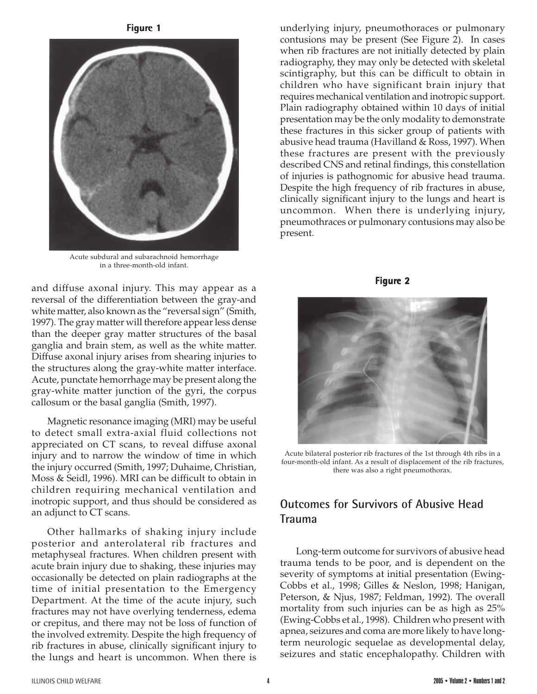**Figure 1**



Acute subdural and subarachnoid hemorrhage in a three-month-old infant.

and diffuse axonal injury. This may appear as a reversal of the differentiation between the gray-and white matter, also known as the "reversal sign" (Smith, 1997). The gray matter will therefore appear less dense than the deeper gray matter structures of the basal ganglia and brain stem, as well as the white matter. Diffuse axonal injury arises from shearing injuries to the structures along the gray-white matter interface. Acute, punctate hemorrhage may be present along the gray-white matter junction of the gyri, the corpus callosum or the basal ganglia (Smith, 1997).

Magnetic resonance imaging (MRI) may be useful to detect small extra-axial fluid collections not appreciated on CT scans, to reveal diffuse axonal injury and to narrow the window of time in which the injury occurred (Smith, 1997; Duhaime, Christian, Moss & Seidl, 1996). MRI can be difficult to obtain in children requiring mechanical ventilation and inotropic support, and thus should be considered as an adjunct to CT scans.

Other hallmarks of shaking injury include posterior and anterolateral rib fractures and metaphyseal fractures. When children present with acute brain injury due to shaking, these injuries may occasionally be detected on plain radiographs at the time of initial presentation to the Emergency Department. At the time of the acute injury, such fractures may not have overlying tenderness, edema or crepitus, and there may not be loss of function of the involved extremity. Despite the high frequency of rib fractures in abuse, clinically significant injury to the lungs and heart is uncommon. When there is

underlying injury, pneumothoraces or pulmonary contusions may be present (See Figure 2). In cases when rib fractures are not initially detected by plain radiography, they may only be detected with skeletal scintigraphy, but this can be difficult to obtain in children who have significant brain injury that requires mechanical ventilation and inotropic support. Plain radiography obtained within 10 days of initial presentation may be the only modality to demonstrate these fractures in this sicker group of patients with abusive head trauma (Havilland & Ross, 1997). When these fractures are present with the previously described CNS and retinal findings, this constellation of injuries is pathognomic for abusive head trauma. Despite the high frequency of rib fractures in abuse, clinically significant injury to the lungs and heart is uncommon. When there is underlying injury, pneumothraces or pulmonary contusions may also be present.





Acute bilateral posterior rib fractures of the 1st through 4th ribs in a four-month-old infant. As a result of displacement of the rib fractures, there was also a right pneumothorax.

## **Outcomes for Survivors of Abusive Head Trauma**

Long-term outcome for survivors of abusive head trauma tends to be poor, and is dependent on the severity of symptoms at initial presentation (Ewing-Cobbs et al., 1998; Gilles & Neslon, 1998; Hanigan, Peterson, & Njus, 1987; Feldman, 1992). The overall mortality from such injuries can be as high as 25% (Ewing-Cobbs et al., 1998). Children who present with apnea, seizures and coma are more likely to have longterm neurologic sequelae as developmental delay, seizures and static encephalopathy. Children with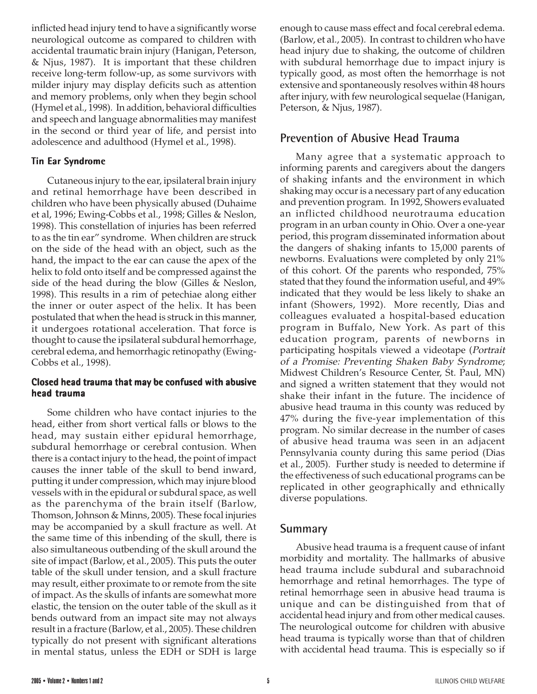inflicted head injury tend to have a significantly worse neurological outcome as compared to children with accidental traumatic brain injury (Hanigan, Peterson, & Njus, 1987). It is important that these children receive long-term follow-up, as some survivors with milder injury may display deficits such as attention and memory problems, only when they begin school (Hymel et al., 1998). In addition, behavioral difficulties and speech and language abnormalities may manifest in the second or third year of life, and persist into adolescence and adulthood (Hymel et al., 1998).

### **Tin Ear Syndrome**

Cutaneous injury to the ear, ipsilateral brain injury and retinal hemorrhage have been described in children who have been physically abused (Duhaime et al, 1996; Ewing-Cobbs et al., 1998; Gilles & Neslon, 1998). This constellation of injuries has been referred to as the tin ear" syndrome. When children are struck on the side of the head with an object, such as the hand, the impact to the ear can cause the apex of the helix to fold onto itself and be compressed against the side of the head during the blow (Gilles & Neslon, 1998). This results in a rim of petechiae along either the inner or outer aspect of the helix. It has been postulated that when the head is struck in this manner, it undergoes rotational acceleration. That force is thought to cause the ipsilateral subdural hemorrhage, cerebral edema, and hemorrhagic retinopathy (Ewing-Cobbs et al., 1998).

### **Closed head trauma that may be confused with abusive head trauma**

Some children who have contact injuries to the head, either from short vertical falls or blows to the head, may sustain either epidural hemorrhage, subdural hemorrhage or cerebral contusion. When there is a contact injury to the head, the point of impact causes the inner table of the skull to bend inward, putting it under compression, which may injure blood vessels with in the epidural or subdural space, as well as the parenchyma of the brain itself (Barlow, Thomson, Johnson & Minns, 2005). These focal injuries may be accompanied by a skull fracture as well. At the same time of this inbending of the skull, there is also simultaneous outbending of the skull around the site of impact (Barlow, et al., 2005). This puts the outer table of the skull under tension, and a skull fracture may result, either proximate to or remote from the site of impact. As the skulls of infants are somewhat more elastic, the tension on the outer table of the skull as it bends outward from an impact site may not always result in a fracture (Barlow, et al., 2005). These children typically do not present with significant alterations in mental status, unless the EDH or SDH is large

enough to cause mass effect and focal cerebral edema. (Barlow, et al., 2005). In contrast to children who have head injury due to shaking, the outcome of children with subdural hemorrhage due to impact injury is typically good, as most often the hemorrhage is not extensive and spontaneously resolves within 48 hours after injury, with few neurological sequelae (Hanigan, Peterson, & Njus, 1987).

## **Prevention of Abusive Head Trauma**

Many agree that a systematic approach to informing parents and caregivers about the dangers of shaking infants and the environment in which shaking may occur is a necessary part of any education and prevention program. In 1992, Showers evaluated an inflicted childhood neurotrauma education program in an urban county in Ohio. Over a one-year period, this program disseminated information about the dangers of shaking infants to 15,000 parents of newborns. Evaluations were completed by only 21% of this cohort. Of the parents who responded, 75% stated that they found the information useful, and 49% indicated that they would be less likely to shake an infant (Showers, 1992). More recently, Dias and colleagues evaluated a hospital-based education program in Buffalo, New York. As part of this education program, parents of newborns in participating hospitals viewed a videotape (Portrait of a Promise: Preventing Shaken Baby Syndrome; Midwest Children's Resource Center, St. Paul, MN) and signed a written statement that they would not shake their infant in the future. The incidence of abusive head trauma in this county was reduced by 47% during the five-year implementation of this program. No similar decrease in the number of cases of abusive head trauma was seen in an adjacent Pennsylvania county during this same period (Dias et al., 2005). Further study is needed to determine if the effectiveness of such educational programs can be replicated in other geographically and ethnically diverse populations.

## **Summary**

Abusive head trauma is a frequent cause of infant morbidity and mortality. The hallmarks of abusive head trauma include subdural and subarachnoid hemorrhage and retinal hemorrhages. The type of retinal hemorrhage seen in abusive head trauma is unique and can be distinguished from that of accidental head injury and from other medical causes. The neurological outcome for children with abusive head trauma is typically worse than that of children with accidental head trauma. This is especially so if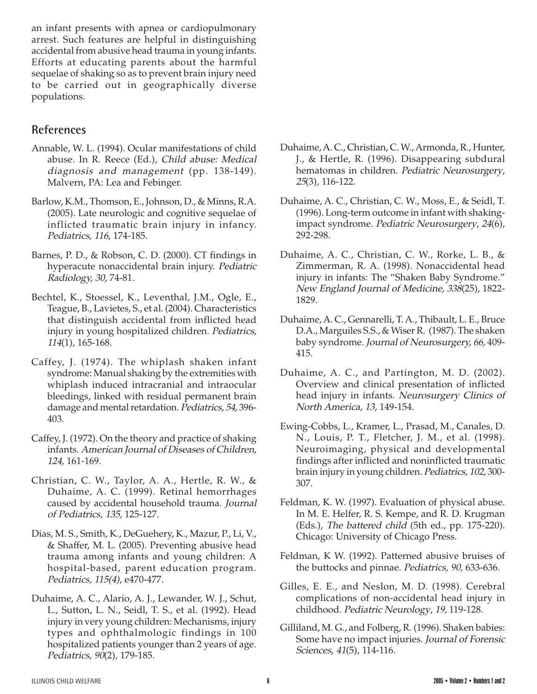an infant presents with apnea or cardiopulmonary arrest. Such features are helpful in distinguishing accidental from abusive head trauma in young infants. Efforts at educating parents about the harmful sequelae of shaking so as to prevent brain injury need to be carried out in geographically diverse populations.

## **References**

- Annable, W. L. (1994). Ocular manifestations of child abuse. In R. Reece (Ed.), Child abuse: Medical diagnosis and management (pp. 138-149). Malvern, PA: Lea and Febinger.
- Barlow, K.M., Thomson, E., Johnson, D., & Minns, R.A. (2005). Late neurologic and cognitive sequelae of inflicted traumatic brain injury in infancy. Pediatrics, 116, 174-185.
- Barnes, P. D., & Robson, C. D. (2000). CT findings in hyperacute nonaccidental brain injury. Pediatric Radiology, 30, 74-81.
- Bechtel, K., Stoessel, K., Leventhal, J.M., Ogle, E., Teague, B., Lavietes, S., et al. (2004). Characteristics that distinguish accidental from inflicted head injury in young hospitalized children. Pediatrics, <sup>114</sup>(1), 165-168.
- Caffey, J. (1974). The whiplash shaken infant syndrome: Manual shaking by the extremities with whiplash induced intracranial and intraocular bleedings, linked with residual permanent brain damage and mental retardation. Pediatrics, 54, 396- 403.
- Caffey, J. (1972). On the theory and practice of shaking infants. American Journal of Diseases of Children, 124, 161-169.
- Christian, C. W., Taylor, A. A., Hertle, R. W., & Duhaime, A. C. (1999). Retinal hemorrhages caused by accidental household trauma. Journal of Pediatrics, 135, 125-127.
- Dias, M. S., Smith, K., DeGuehery, K., Mazur, P., Li, V., & Shaffer, M. L. (2005). Preventing abusive head trauma among infants and young children: A hospital-based, parent education program. Pediatrics, 115(4), e470-477.
- Duhaime, A. C., Alario, A. J., Lewander, W. J., Schut, L., Sutton, L. N., Seidl, T. S., et al. (1992). Head injury in very young children: Mechanisms, injury types and ophthalmologic findings in 100 hospitalized patients younger than 2 years of age. Pediatrics, 90(2), 179-185.
- Duhaime, A. C., Christian, C. W., Armonda, R., Hunter, J., & Hertle, R. (1996). Disappearing subdural hematomas in children. Pediatric Neurosurgery, 25(3), 116-122.
- Duhaime, A. C., Christian, C. W., Moss, E., & Seidl, T. (1996). Long-term outcome in infant with shakingimpact syndrome. Pediatric Neurosurgery, 24(6), 292-298.
- Duhaime, A. C., Christian, C. W., Rorke, L. B., & Zimmerman, R. A. (1998). Nonaccidental head injury in infants: The "Shaken Baby Syndrome." New England Journal of Medicine, 338(25), 1822- 1829.
- Duhaime, A. C., Gennarelli, T. A., Thibault, L. E., Bruce D.A., Marguiles S.S., & Wiser R. (1987). The shaken baby syndrome. Journal of Neurosurgery, 66, 409- 415.
- Duhaime, A. C., and Partington, M. D. (2002). Overview and clinical presentation of inflicted head injury in infants. Neurosurgery Clinics of North America, 13, 149-154.
- Ewing-Cobbs, L., Kramer, L., Prasad, M., Canales, D. N., Louis, P. T., Fletcher, J. M., et al. (1998). Neuroimaging, physical and developmental findings after inflicted and noninflicted traumatic brain injury in young children. Pediatrics, 102, 300- 307.
- Feldman, K. W. (1997). Evaluation of physical abuse. In M. E. Helfer, R. S. Kempe, and R. D. Krugman (Eds.), The battered child (5th ed., pp. 175-220). Chicago: University of Chicago Press.
- Feldman, K W. (1992). Patterned abusive bruises of the buttocks and pinnae. Pediatrics, 90, 633-636.
- Gilles, E. E., and Neslon, M. D. (1998). Cerebral complications of non-accidental head injury in childhood. Pediatric Neurology, 19, 119-128.
- Gilliland, M. G., and Folberg, R. (1996). Shaken babies: Some have no impact injuries. Journal of Forensic Sciences, 41(5), 114-116.